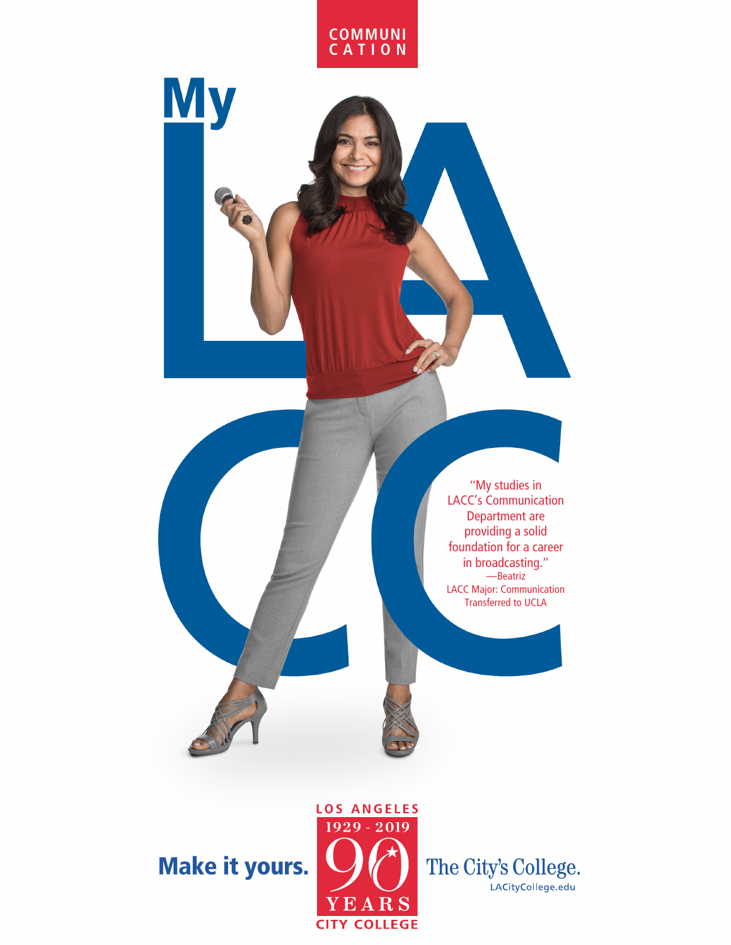

**My** 

"My studies in LACC's Communication Department are providing a solid foundation for a career in broadcasting." —Beatriz LACC Major: Communication Transferred to UCLA

Make it yours.



The City's College.